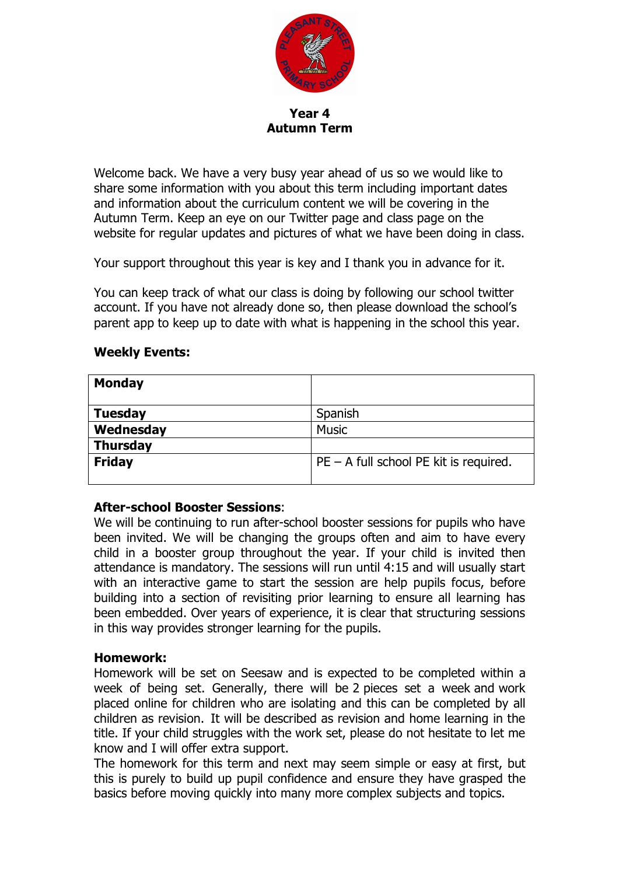

**Year 4 Autumn Term**

Welcome back. We have a very busy year ahead of us so we would like to share some information with you about this term including important dates and information about the curriculum content we will be covering in the Autumn Term. Keep an eye on our Twitter page and class page on the website for regular updates and pictures of what we have been doing in class.

Your support throughout this year is key and I thank you in advance for it.

You can keep track of what our class is doing by following our school twitter account. If you have not already done so, then please download the school's parent app to keep up to date with what is happening in the school this year.

## **Weekly Events:**

| <b>Monday</b>   |                                          |  |
|-----------------|------------------------------------------|--|
| <b>Tuesday</b>  | Spanish                                  |  |
| Wednesday       | <b>Music</b>                             |  |
| <b>Thursday</b> |                                          |  |
| <b>Friday</b>   | $PE - A$ full school PE kit is required. |  |
|                 |                                          |  |

#### **After-school Booster Sessions**:

We will be continuing to run after-school booster sessions for pupils who have been invited. We will be changing the groups often and aim to have every child in a booster group throughout the year. If your child is invited then attendance is mandatory. The sessions will run until 4:15 and will usually start with an interactive game to start the session are help pupils focus, before building into a section of revisiting prior learning to ensure all learning has been embedded. Over years of experience, it is clear that structuring sessions in this way provides stronger learning for the pupils.

#### **Homework:**

Homework will be set on Seesaw and is expected to be completed within a week of being set. Generally, there will be 2 pieces set a week and work placed online for children who are isolating and this can be completed by all children as revision.  It will be described as revision and home learning in the title.  If your child struggles with the work set, please do not hesitate to let me know and I will offer extra support.

The homework for this term and next may seem simple or easy at first, but this is purely to build up pupil confidence and ensure they have grasped the basics before moving quickly into many more complex subjects and topics.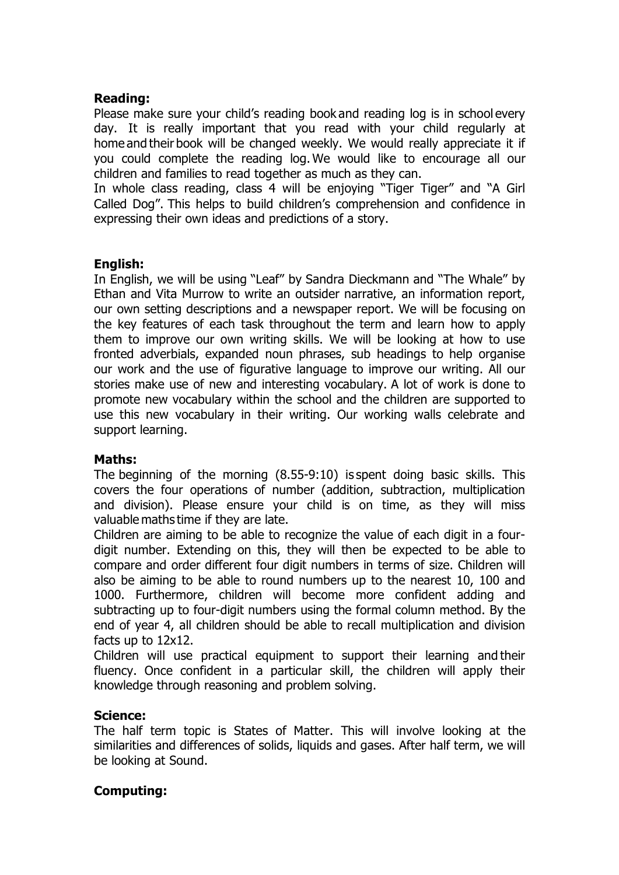### **Reading:**

Please make sure your child's reading book and reading log is in school every day.  It is really important that you read with your child regularly at home and their book will be changed weekly. We would really appreciate it if you could complete the reading log. We would like to encourage all our children and families to read together as much as they can. 

In whole class reading, class 4 will be enjoying "Tiger Tiger" and "A Girl Called Dog". This helps to build children's comprehension and confidence in expressing their own ideas and predictions of a story. 

## **English:**

In English, we will be using "Leaf" by Sandra Dieckmann and "The Whale" by Ethan and Vita Murrow to write an outsider narrative, an information report, our own setting descriptions and a newspaper report. We will be focusing on the key features of each task throughout the term and learn how to apply them to improve our own writing skills. We will be looking at how to use fronted adverbials, expanded noun phrases, sub headings to help organise our work and the use of figurative language to improve our writing. All our stories make use of new and interesting vocabulary. A lot of work is done to promote new vocabulary within the school and the children are supported to use this new vocabulary in their writing. Our working walls celebrate and support learning.

#### **Maths:**

The beginning of the morning (8.55-9:10) is spent doing basic skills. This covers the four operations of number (addition, subtraction, multiplication and division). Please ensure your child is on time, as they will miss valuable maths time if they are late. 

Children are aiming to be able to recognize the value of each digit in a fourdigit number. Extending on this, they will then be expected to be able to compare and order different four digit numbers in terms of size. Children will also be aiming to be able to round numbers up to the nearest 10, 100 and 1000. Furthermore, children will become more confident adding and subtracting up to four-digit numbers using the formal column method. By the end of year 4, all children should be able to recall multiplication and division facts up to 12x12.

Children will use practical equipment to support their learning and their fluency. Once confident in a particular skill, the children will apply their knowledge through reasoning and problem solving.

#### **Science:**

The half term topic is States of Matter. This will involve looking at the similarities and differences of solids, liquids and gases. After half term, we will be looking at Sound.

# **Computing:**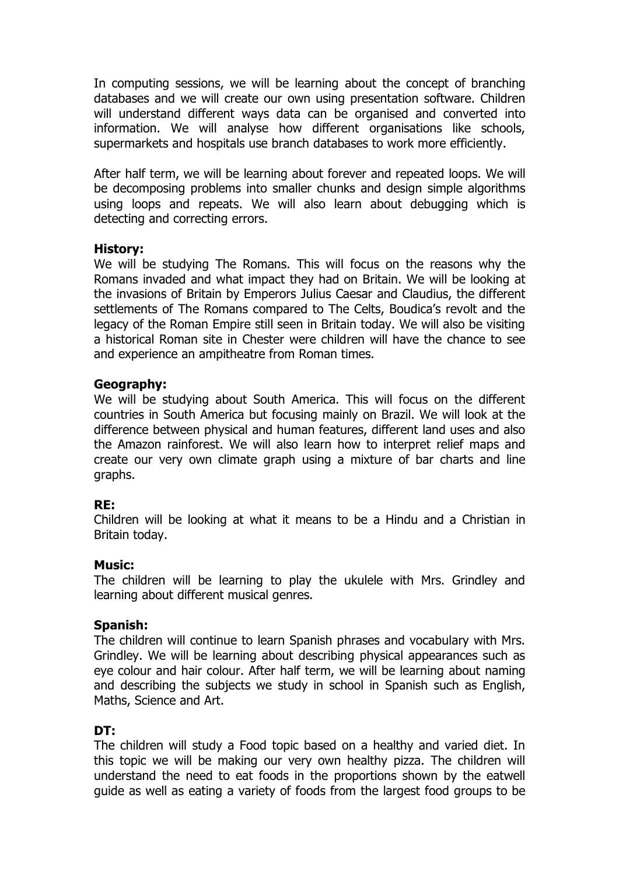In computing sessions, we will be learning about the concept of branching databases and we will create our own using presentation software. Children will understand different ways data can be organised and converted into information. We will analyse how different organisations like schools, supermarkets and hospitals use branch databases to work more efficiently.

After half term, we will be learning about forever and repeated loops. We will be decomposing problems into smaller chunks and design simple algorithms using loops and repeats. We will also learn about debugging which is detecting and correcting errors.

#### **History:**

We will be studying The Romans. This will focus on the reasons why the Romans invaded and what impact they had on Britain. We will be looking at the invasions of Britain by Emperors Julius Caesar and Claudius, the different settlements of The Romans compared to The Celts, Boudica's revolt and the legacy of the Roman Empire still seen in Britain today. We will also be visiting a historical Roman site in Chester were children will have the chance to see and experience an ampitheatre from Roman times.

#### **Geography:**

We will be studying about South America. This will focus on the different countries in South America but focusing mainly on Brazil. We will look at the difference between physical and human features, different land uses and also the Amazon rainforest. We will also learn how to interpret relief maps and create our very own climate graph using a mixture of bar charts and line graphs.

# **RE:**

Children will be looking at what it means to be a Hindu and a Christian in Britain today.

#### **Music:**

The children will be learning to play the ukulele with Mrs. Grindley and learning about different musical genres.

#### **Spanish:**

The children will continue to learn Spanish phrases and vocabulary with Mrs. Grindley. We will be learning about describing physical appearances such as eye colour and hair colour. After half term, we will be learning about naming and describing the subjects we study in school in Spanish such as English, Maths, Science and Art.

# **DT:**

The children will study a Food topic based on a healthy and varied diet. In this topic we will be making our very own healthy pizza. The children will understand the need to eat foods in the proportions shown by the eatwell guide as well as eating a variety of foods from the largest food groups to be